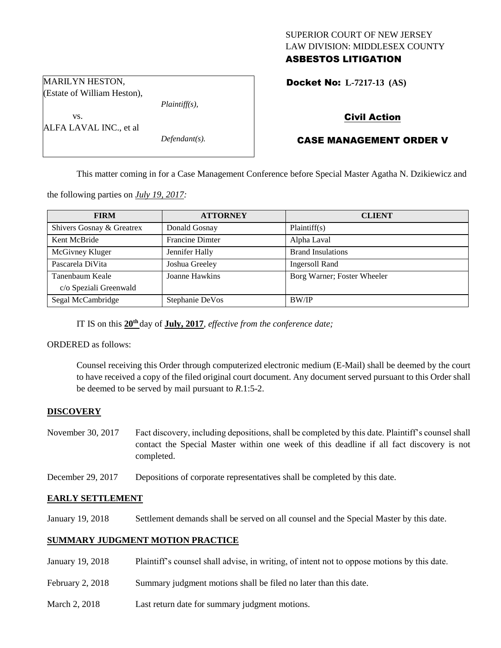## SUPERIOR COURT OF NEW JERSEY LAW DIVISION: MIDDLESEX COUNTY ASBESTOS LITIGATION

Docket No: **L-7217-13 (AS)** 

Civil Action

# CASE MANAGEMENT ORDER V

This matter coming in for a Case Management Conference before Special Master Agatha N. Dzikiewicz and

the following parties on *July 19, 2017:*

| <b>FIRM</b>               | <b>ATTORNEY</b>        | <b>CLIENT</b>               |
|---------------------------|------------------------|-----------------------------|
| Shivers Gosnay & Greatrex | Donald Gosnay          | Plaintiff(s)                |
| Kent McBride              | <b>Francine Dimter</b> | Alpha Laval                 |
| McGivney Kluger           | Jennifer Hally         | <b>Brand Insulations</b>    |
| Pascarela DiVita          | Joshua Greeley         | <b>Ingersoll Rand</b>       |
| Tanenbaum Keale           | Joanne Hawkins         | Borg Warner; Foster Wheeler |
| c/o Speziali Greenwald    |                        |                             |
| Segal McCambridge         | Stephanie DeVos        | <b>BW/IP</b>                |

IT IS on this  $20<sup>th</sup>$  day of **July, 2017**, *effective from the conference date*;

ORDERED as follows:

Counsel receiving this Order through computerized electronic medium (E-Mail) shall be deemed by the court to have received a copy of the filed original court document. Any document served pursuant to this Order shall be deemed to be served by mail pursuant to *R*.1:5-2.

### **DISCOVERY**

- November 30, 2017 Fact discovery, including depositions, shall be completed by this date. Plaintiff's counsel shall contact the Special Master within one week of this deadline if all fact discovery is not completed.
- December 29, 2017 Depositions of corporate representatives shall be completed by this date.

#### **EARLY SETTLEMENT**

January 19, 2018 Settlement demands shall be served on all counsel and the Special Master by this date.

#### **SUMMARY JUDGMENT MOTION PRACTICE**

- January 19, 2018 Plaintiff's counsel shall advise, in writing, of intent not to oppose motions by this date.
- February 2, 2018 Summary judgment motions shall be filed no later than this date.
- March 2, 2018 Last return date for summary judgment motions.

MARILYN HESTON, (Estate of William Heston),

ALFA LAVAL INC., et al

*Plaintiff(s),*

*Defendant(s).*

vs.